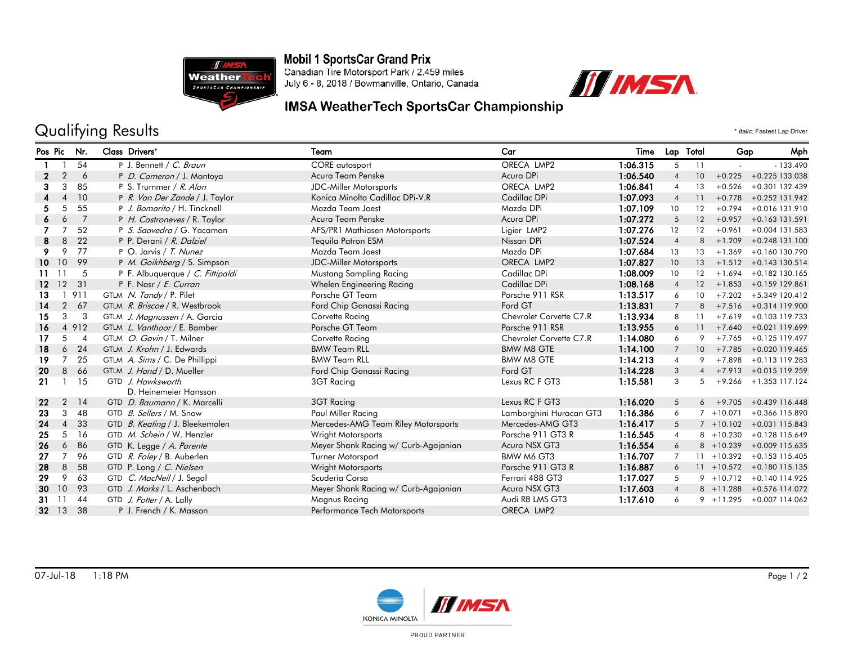

**Mobil 1 SportsCar Grand Prix** 

Canadian Tire Motorsport Park / 2.459 miles July 6 - 8, 2018 / Bowmanville, Ontario, Canada



## IMSA WeatherTech SportsCar Championship

## Qualifying Results  $\cdot$  *Italic:* Fastest Lap Driver

| Pos Pic         |                | Nr.            | Class Drivers*                         | Team                                 | Car                     | Time     | Lap Total       |                 | Gap          | Mph                          |  |
|-----------------|----------------|----------------|----------------------------------------|--------------------------------------|-------------------------|----------|-----------------|-----------------|--------------|------------------------------|--|
|                 |                | 54             | P J. Bennett / C. Braun                | <b>CORE</b> autosport                | ORECA LMP2              | 1:06.315 | 5               | 11              |              | $-133.490$                   |  |
|                 | 2              | 6              | P D. Cameron / J. Montoya              | Acura Team Penske                    | Acura DPi               | 1:06.540 |                 | 10              | $+0.225$     | +0.225 133.038               |  |
| 3               | 3              | 85             | P S. Trummer / R. Alon                 | <b>JDC-Miller Motorsports</b>        | ORECA LMP2              | 1:06.841 | 4               | 13              | $+0.526$     | +0.301 132.439               |  |
|                 | Δ              | 10             | P R. Van Der Zande / J. Taylor         | Konica Minolta Cadillac DPi-V.R      | Cadillac DPi            | 1:07.093 | $\overline{4}$  | 11              |              | $+0.778$ $+0.252$ 131.942    |  |
| 5.              | 5              | 55             | P J. Bomarito / H. Tincknell           | Mazda Team Joest                     | Mazda DPi               | 1:07.109 | 10              | 12              | $+0.794$     | +0.016 131.910               |  |
| 6               | 6              | $\overline{7}$ | P H. Castroneves / R. Taylor           | Acura Team Penske                    | Acura DPi               | 1:07.272 | 5               | 12              | $+0.957$     | +0.163 131.591               |  |
|                 |                | 52             | P S. Saavedra / G. Yacaman             | AFS/PR1 Mathiasen Motorsports        | Ligier LMP2             | 1:07.276 | 12              | 12              | $+0.961$     | +0.004 131.583               |  |
| 8               | 8              | 22             | P P. Derani / R. Dalziel               | <b>Tequila Patron ESM</b>            | Nissan DPi              | 1:07.524 | $\overline{4}$  | 8               | $+1.209$     | +0.248 131.100               |  |
| 9               | 9              | 77             | P O. Jarvis / T. Nunez                 | Mazda Team Joest                     | Mazda DPi               | 1:07.684 | 13              | 13              | $+1.369$     | +0.160 130.790               |  |
| 10              | 10             | 99             | P M. Goikhberg / S. Simpson            | <b>JDC-Miller Motorsports</b>        | ORECA LMP2              | 1:07.827 | 10              | 13              |              | $+1.512 + 0.143130.514$      |  |
| 11              | -11            | -5             | P F. Albuquerque / C. Fittipaldi       | Mustang Sampling Racing              | Cadillac DPi            | 1:08.009 | 10 <sup>°</sup> | 12              | $+1.694$     | $+0.182$ 130.165             |  |
| 12 <sup>°</sup> | 12             | 31             | P F. Nasr / E. Curran                  | Whelen Engineering Racing            | Cadillac DPi            | 1:08.168 | $\overline{4}$  | 12              |              | $+1.853 + 0.159129.861$      |  |
| 13              |                | 911            | GTLM N. Tandy / P. Pilet               | Porsche GT Team                      | Porsche 911 RSR         | 1:13.517 | 6               | 10              | $+7.202$     | +5.349 120.412               |  |
| 14              | $\overline{2}$ | 67             | GTLM R. Briscoe / R. Westbrook         | Ford Chip Ganassi Racing             | Ford GT                 | 1:13.831 | $\overline{7}$  | 8               |              | $+7.516 + 0.314119.900$      |  |
| 15              | 3              | -3             | GTLM J. Magnussen / A. Garcia          | Corvette Racing                      | Chevrolet Corvette C7.R | 1:13.934 | 8               | 11              |              | $+7.619 + 0.103119.733$      |  |
| 16              |                | 4 9 1 2        | GTLM L. Vanthoor / E. Bamber           | Porsche GT Team                      | Porsche 911 RSR         | 1:13.955 | 6               | 11              |              | $+7.640 + 0.021119.699$      |  |
| 17              | 5              | $\overline{4}$ | GTLM O. Gavin / T. Milner              | Corvette Racing                      | Chevrolet Corvette C7.R | 1:14.080 | 6               | 9               |              | $+7.765 + 0.125119.497$      |  |
| 18              | 6              | 24             | GTLM J. Krohn / J. Edwards             | <b>BMW Team RLL</b>                  | <b>BMW M8 GTE</b>       | 1:14.100 | $\overline{7}$  | 10 <sup>°</sup> |              | $+7.785 + 0.020119.465$      |  |
| 19              | 7              | 25             | GTLM A. Sims / C. De Phillippi         | <b>BMW Team RLL</b>                  | <b>BMW M8 GTE</b>       | 1:14.213 | 4               | 9               |              | $+7.898 + 0.113119.283$      |  |
| 20              | 8              | 66             | GTLM J. Hand / D. Mueller              | Ford Chip Ganassi Racing             | Ford GT                 | 1:14.228 | 3               | $\overline{4}$  |              | +7.913 +0.015 119.259        |  |
| 21              |                | 15             | GTD J. Hawksworth                      | 3GT Racing                           | Lexus RC F GT3          | 1:15.581 | 3               | 5               |              | $+9.266 + 1.353$ 117.124     |  |
|                 |                |                | D. Heinemeier Hansson                  |                                      |                         |          |                 |                 |              |                              |  |
| 22              | $\overline{2}$ | 14             | GTD D. Baumann / K. Marcelli           | 3GT Racing                           | Lexus RC F GT3          | 1:16.020 | 5               |                 | $6 + 9.705$  | +0.439 116.448               |  |
| 23              | 3              | 48             | GTD B. Sellers / M. Snow               | Paul Miller Racing                   | Lamborghini Huracan GT3 | 1:16.386 | 6               |                 | $7 + 10.071$ | +0.366 115.890               |  |
| 24              | $\overline{4}$ | 33             | GTD <i>B. Keating</i> / J. Bleekemolen | Mercedes-AMG Team Riley Motorsports  | Mercedes-AMG GT3        | 1:16.417 | 5               |                 | $7 + 10.102$ | $+0.031$ 115.843             |  |
| 25              | 5              | 16             | GTD M. Schein / W. Henzler             | Wright Motorsports                   | Porsche 911 GT3 R       | 1:16.545 | $\overline{4}$  |                 | $8 + 10.230$ | +0.128 115.649               |  |
| 26              | 6              | 86             | GTD K. Legge / A. Parente              | Meyer Shank Racing w/ Curb-Agajanian | Acura NSX GT3           | 1:16.554 | 6               |                 | $8 + 10.239$ | +0.009 115.635               |  |
| 27              | 7              | 96             | GTD R. Foley / B. Auberlen             | Turner Motorsport                    | <b>BMW M6 GT3</b>       | 1:16.707 | $\overline{7}$  | 11              | $+10.392$    | $+0.153$ 115.405             |  |
| 28              | 8              | 58             | GTD P. Long / C. Nielsen               | Wright Motorsports                   | Porsche 911 GT3 R       | 1:16.887 | 6               |                 |              | $11 + 10.572 + 0.180115.135$ |  |
| 29              | 9              | 63             | GTD C. MacNeil / J. Segal              | Scuderia Corsa                       | Ferrari 488 GT3         | 1:17.027 | 5               |                 |              | $9 + 10.712 + 0.140114.925$  |  |
| 30              | 10             | 93             | GTD J. Marks / L. Aschenbach           | Meyer Shank Racing w/ Curb-Agajanian | Acura NSX GT3           | 1:17.603 | $\overline{4}$  |                 |              | 8 +11.288 +0.576 114.072     |  |
| -11<br>31       |                | 44             | GTD J. Potter / A. Lally               | Magnus Racing                        | Audi R8 LMS GT3         | 1:17.610 | 6               |                 |              | $9 + 11.295 + 0.007114.062$  |  |
| 32 13           |                | 38             | P J. French / K. Masson                | Performance Tech Motorsports         | ORECA LMP2              |          |                 |                 |              |                              |  |



PROUD PARTNER